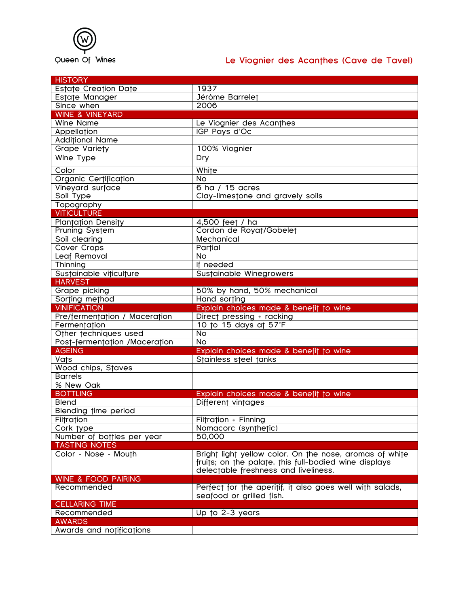

## Queen Of Wines **Le Viognier des Acanthes (Cave de Tavel)**

| <b>HISTORY</b>                 |                                                          |
|--------------------------------|----------------------------------------------------------|
| Estate Creation Date           | 1937                                                     |
| Estate Manager                 | Jérôme Barrelet                                          |
| Since when                     | 2006                                                     |
| <b>WINE &amp; VINEYARD</b>     |                                                          |
| <b>Wine Name</b>               | Le Viognier des Acanthes                                 |
| Appellation                    | IGP Pays d'Oc                                            |
| <b>Additional Name</b>         |                                                          |
| Grape Variety                  | 100% Viognier                                            |
| Wine Type                      | <b>Dry</b>                                               |
| Color                          | White                                                    |
| Organic Certification          | <b>No</b>                                                |
| Vineyard surface               | 6 ha / 15 acres                                          |
| Soil Type                      | Clay-limestone and gravely soils                         |
| Topography                     |                                                          |
| <b>VITICULTURE</b>             |                                                          |
| <b>Plantation Density</b>      | 4,500 feet / ha                                          |
| Pruning System                 | Cordon de Royat/Gobelet                                  |
| Soil clearing                  | Mechanical                                               |
| Cover Crops                    | Partial                                                  |
| Leaf Removal                   | <b>No</b>                                                |
| Thinning                       | If needed                                                |
| Sustainable viticulture        | Sustainable Winegrowers                                  |
| <b>HARVEST</b>                 |                                                          |
| Grape picking                  | 50% by hand, 50% mechanical                              |
| Sorting method                 | Hand sorting                                             |
| <b>VINIFICATION</b>            | Explain choices made & benefit to wine                   |
| Pre/fermentation / Maceration  | Direct pressing + racking                                |
| Fermentation                   | 10 to 15 days at 57°F                                    |
| Other techniques used          | <b>No</b>                                                |
| Post-fermentation /Maceration  | No                                                       |
| <b>AGEING</b>                  | Explain choices made & benefit to wine                   |
| Vats                           | Stainless steel tanks                                    |
| Wood chips, Staves             |                                                          |
| <b>Barrels</b>                 |                                                          |
| % New Oak                      |                                                          |
| <b>BOTTLING</b>                | Explain choices made & benefit to wine                   |
| <b>Blend</b>                   | Different vintages                                       |
| Blending time period           |                                                          |
| Filtration                     | Filtration + Finning                                     |
| Cork type                      | Nomacorc (synthetic)                                     |
| Number of bottles per year     | 50,000                                                   |
| <b>TASTING NOTES</b>           |                                                          |
| Color - Nose - Mouth           | Bright light yellow color. On the nose, aromas of white  |
|                                | fruits; on the palate, this full-bodied wine displays    |
|                                | delectable freshness and liveliness.                     |
| <b>WINE &amp; FOOD PAIRING</b> |                                                          |
| Recommended                    | Perfect for the aperitif, it also goes well with salads, |
|                                | seafood or grilled fish.                                 |
| <b>CELLARING TIME</b>          |                                                          |
| Recommended                    | Up to 2-3 years                                          |
| <b>AWARDS</b>                  |                                                          |
| Awards and notifications       |                                                          |